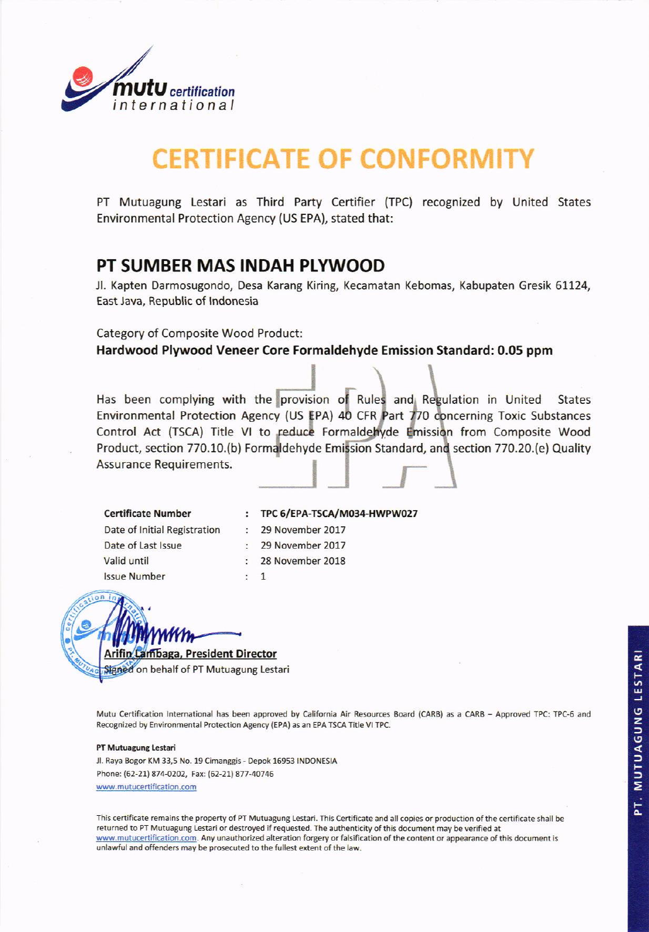

## **CERTIFICATE OF CONFORMIT**

PT Mutuagung Lestari as Third Party Certifier (TPC) recognized by United States Environmental Protection Agency (US EPA), stated that:

## PT SUMBER MAS INDAH PLYWOOD

 $\ddot{\cdot}$ 

 $\mathbf{1}$  $\overline{\phantom{a}}$ 

Jl. Kapten Darmosugondo, Desa Karang Kiring, Kecamatan Kebomas, Kabupaten Gresik 61124, East Java, Republic of Indonesia

**Category of Composite Wood Product:** Hardwood Plywood Veneer Core Formaldehyde Emission Standard: 0.05 ppm

Has been complying with the provision of Rules and Regulation in United **States** Environmental Protection Agency (US EPA) 40 CFR Part 770 concerning Toxic Substances Control Act (TSCA) Title VI to reduce Formaldehyde Emission from Composite Wood Product, section 770.10.(b) Formaldehyde Emission Standard, and section 770.20.(e) Quality **Assurance Requirements.** 

**Certificate Number** Date of Initial Registration Date of Last Issue Valid until **Issue Number** 

TPC 6/EPA-TSCA/M034-HWPW027 29 November 2017 29 November 2017 28 November 2018

ambaga, President Director

Signed on behalf of PT Mutuagung Lestari

Mutu Certification International has been approved by California Air Resources Board (CARB) as a CARB - Approved TPC: TPC-6 and Recognized by Environmental Protection Agency (EPA) as an EPA TSCA Title VI TPC.

## PT Mutuagung Lestari

Jl. Raya Bogor KM 33,5 No. 19 Cimanggis - Depok 16953 INDONESIA Phone: (62-21) 874-0202, Fax: (62-21) 877-40746 www.mutucertification.com

This certificate remains the property of PT Mutuagung Lestari. This Certificate and all copies or production of the certificate shall be returned to PT Mutuagung Lestari or destroyed if requested. The authenticity of this document may be verified at www.mutucertification.com. Any unauthorized alteration forgery or falsification of the content or appearance of this document is unlawful and offenders may be prosecuted to the fullest extent of the law.